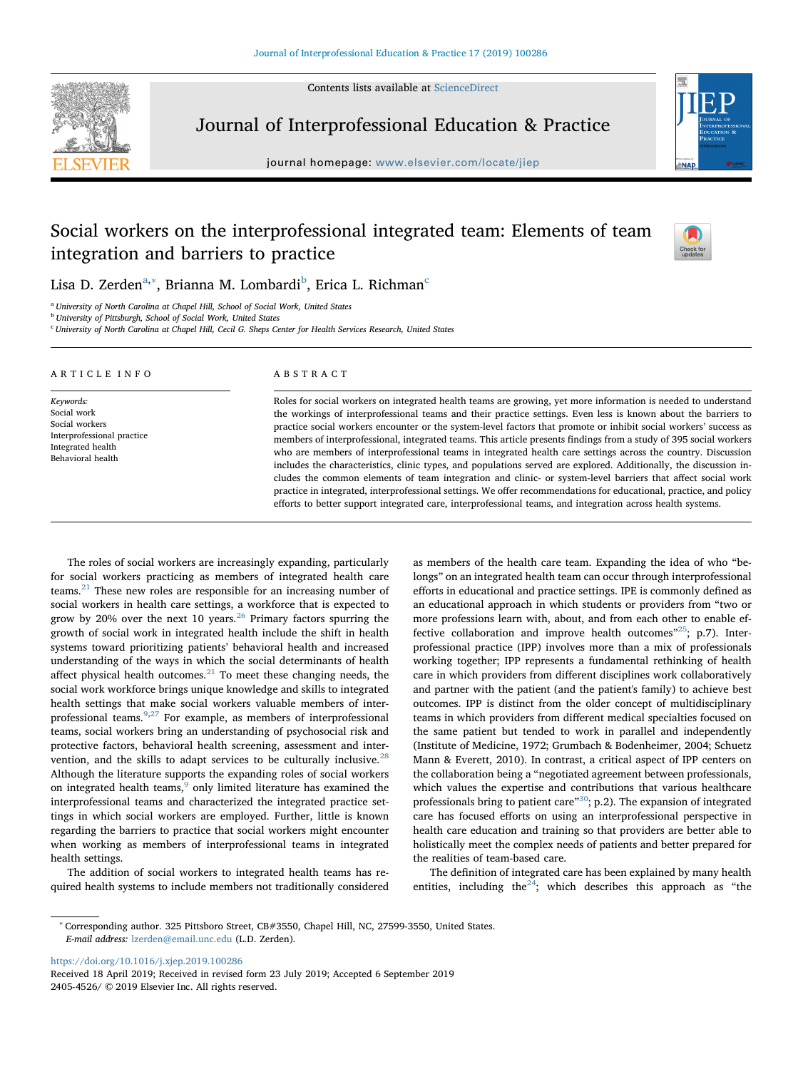Contents lists available at [ScienceDirect](http://www.sciencedirect.com/science/journal/24054526)



Journal of Interprofessional Education & Practice

journal homepage: [www.elsevier.com/locate/jiep](https://www.elsevier.com/locate/jiep)



# Social workers on the interprofessional integrated team: Elements of team integration and barriers to practice



Lisa D. Zerden $^{\mathrm{a},*}$ , Brianna M. Lom[b](#page-0-2)ardi $^{\mathrm{b}}$ , Eri[c](#page-0-3)a L. Richman $^{\mathrm{c}}$ 

<span id="page-0-0"></span><sup>a</sup> University of North Carolina at Chapel Hill, School of Social Work, United States

<span id="page-0-2"></span><sup>b</sup> University of Pittsburgh, School of Social Work, United States

<span id="page-0-3"></span> $c$  University of North Carolina at Chapel Hill, Cecil G. Sheps Center for Health Services Research, United States

| ARTICLE INFO                                                         | ABSTRACT                                                                                                                                                                                                                          |  |  |  |  |
|----------------------------------------------------------------------|-----------------------------------------------------------------------------------------------------------------------------------------------------------------------------------------------------------------------------------|--|--|--|--|
| Keywords:                                                            | Roles for social workers on integrated health teams are growing, yet more information is needed to understand                                                                                                                     |  |  |  |  |
| Social work                                                          | the workings of interprofessional teams and their practice settings. Even less is known about the barriers to                                                                                                                     |  |  |  |  |
| Social workers                                                       | practice social workers encounter or the system-level factors that promote or inhibit social workers' success as                                                                                                                  |  |  |  |  |
| Interprofessional practice<br>Integrated health<br>Behavioral health | members of interprofessional, integrated teams. This article presents findings from a study of 395 social workers<br>who are members of interprofessional teams in integrated health care settings across the country. Discussion |  |  |  |  |
|                                                                      | includes the characteristics, clinic types, and populations served are explored. Additionally, the discussion in-                                                                                                                 |  |  |  |  |
|                                                                      | cludes the common elements of team integration and clinic- or system-level barriers that affect social work                                                                                                                       |  |  |  |  |
|                                                                      | practice in integrated, interprofessional settings. We offer recommendations for educational, practice, and policy                                                                                                                |  |  |  |  |

efforts to better support integrated care, interprofessional teams, and integration across health systems.

The roles of social workers are increasingly expanding, particularly for social workers practicing as members of integrated health care teams.[21](#page-6-0) These new roles are responsible for an increasing number of social workers in health care settings, a workforce that is expected to grow by 20% over the next 10 years. $^{26}$  $^{26}$  $^{26}$  Primary factors spurring the growth of social work in integrated health include the shift in health systems toward prioritizing patients' behavioral health and increased understanding of the ways in which the social determinants of health affect physical health outcomes. $21$  To meet these changing needs, the social work workforce brings unique knowledge and skills to integrated health settings that make social workers valuable members of inter-professional teams.<sup>[9,](#page-6-2)[27](#page-6-3)</sup> For example, as members of interprofessional teams, social workers bring an understanding of psychosocial risk and protective factors, behavioral health screening, assessment and inter-vention, and the skills to adapt services to be culturally inclusive.<sup>[28](#page-6-4)</sup> Although the literature supports the expanding roles of social workers on integrated health teams,<sup>[9](#page-6-2)</sup> only limited literature has examined the interprofessional teams and characterized the integrated practice settings in which social workers are employed. Further, little is known regarding the barriers to practice that social workers might encounter when working as members of interprofessional teams in integrated health settings.

The addition of social workers to integrated health teams has required health systems to include members not traditionally considered

as members of the health care team. Expanding the idea of who "belongs" on an integrated health team can occur through interprofessional efforts in educational and practice settings. IPE is commonly defined as an educational approach in which students or providers from "two or more professions learn with, about, and from each other to enable effective collaboration and improve health outcomes"<sup>25</sup>; p.7). Interprofessional practice (IPP) involves more than a mix of professionals working together; IPP represents a fundamental rethinking of health care in which providers from different disciplines work collaboratively and partner with the patient (and the patient's family) to achieve best outcomes. IPP is distinct from the older concept of multidisciplinary teams in which providers from different medical specialties focused on the same patient but tended to work in parallel and independently (Institute of Medicine, 1972; Grumbach & Bodenheimer, 2004; Schuetz Mann & Everett, 2010). In contrast, a critical aspect of IPP centers on the collaboration being a "negotiated agreement between professionals, which values the expertise and contributions that various healthcare professionals bring to patient care"<sup>30</sup>; p.2). The expansion of integrated care has focused efforts on using an interprofessional perspective in health care education and training so that providers are better able to holistically meet the complex needs of patients and better prepared for the realities of team-based care.

The definition of integrated care has been explained by many health entities, including the<sup>24</sup>; which describes this approach as "the

<https://doi.org/10.1016/j.xjep.2019.100286>

<span id="page-0-1"></span><sup>∗</sup> Corresponding author. 325 Pittsboro Street, CB#3550, Chapel Hill, NC, 27599-3550, United States. E-mail address: [lzerden@email.unc.edu](mailto:lzerden@email.unc.edu) (L.D. Zerden).

Received 18 April 2019; Received in revised form 23 July 2019; Accepted 6 September 2019 2405-4526/ © 2019 Elsevier Inc. All rights reserved.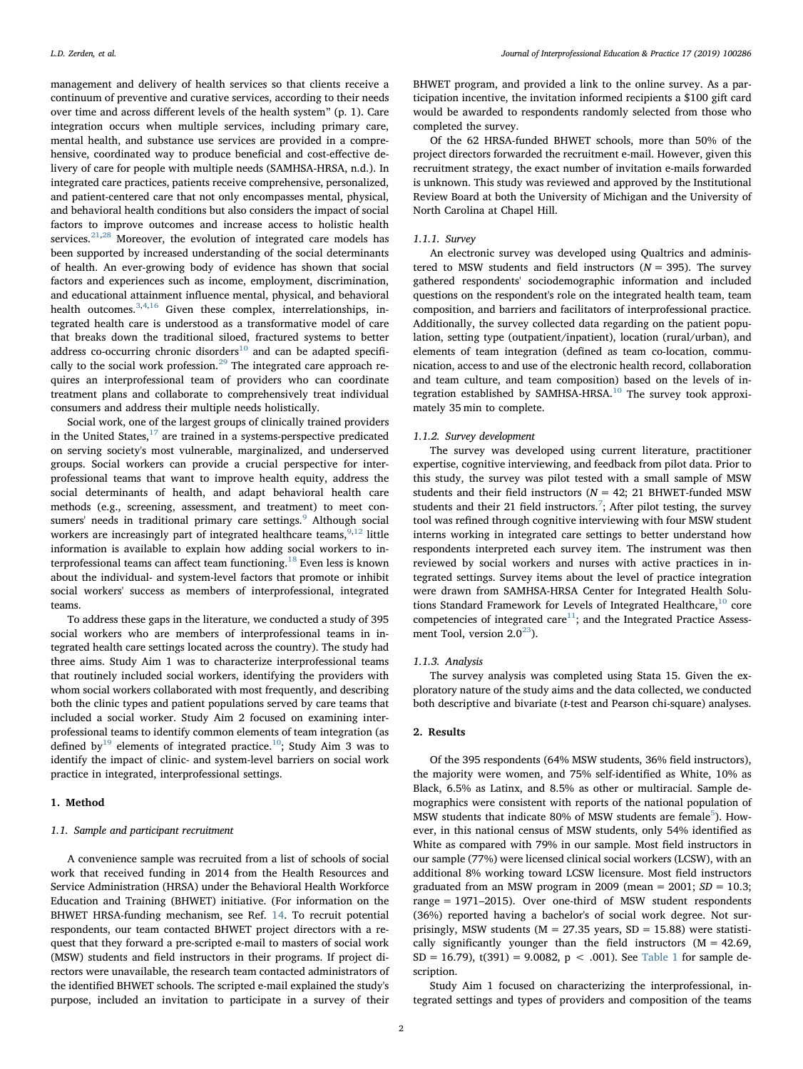management and delivery of health services so that clients receive a continuum of preventive and curative services, according to their needs over time and across different levels of the health system" (p. 1). Care integration occurs when multiple services, including primary care, mental health, and substance use services are provided in a comprehensive, coordinated way to produce beneficial and cost-effective delivery of care for people with multiple needs (SAMHSA-HRSA, n.d.). In integrated care practices, patients receive comprehensive, personalized, and patient-centered care that not only encompasses mental, physical, and behavioral health conditions but also considers the impact of social factors to improve outcomes and increase access to holistic health services.<sup>[21](#page-6-0),[28](#page-6-4)</sup> Moreover, the evolution of integrated care models has been supported by increased understanding of the social determinants of health. An ever-growing body of evidence has shown that social factors and experiences such as income, employment, discrimination, and educational attainment influence mental, physical, and behavioral health outcomes.<sup>[3](#page-6-8),[4](#page-6-9),[16](#page-6-10)</sup> Given these complex, interrelationships, integrated health care is understood as a transformative model of care that breaks down the traditional siloed, fractured systems to better address co-occurring chronic disorders<sup>[10](#page-6-11)</sup> and can be adapted specifi-cally to the social work profession.<sup>[29](#page-6-12)</sup> The integrated care approach requires an interprofessional team of providers who can coordinate treatment plans and collaborate to comprehensively treat individual consumers and address their multiple needs holistically.

Social work, one of the largest groups of clinically trained providers in the United States, $17$  are trained in a systems-perspective predicated on serving society's most vulnerable, marginalized, and underserved groups. Social workers can provide a crucial perspective for interprofessional teams that want to improve health equity, address the social determinants of health, and adapt behavioral health care methods (e.g., screening, assessment, and treatment) to meet con-sumers' needs in traditional primary care settings.<sup>[9](#page-6-2)</sup> Although social workers are increasingly part of integrated healthcare teams,  $9,12$  $9,12$  little information is available to explain how adding social workers to in-terprofessional teams can affect team functioning.<sup>[18](#page-6-15)</sup> Even less is known about the individual- and system-level factors that promote or inhibit social workers' success as members of interprofessional, integrated teams.

To address these gaps in the literature, we conducted a study of 395 social workers who are members of interprofessional teams in integrated health care settings located across the country). The study had three aims. Study Aim 1 was to characterize interprofessional teams that routinely included social workers, identifying the providers with whom social workers collaborated with most frequently, and describing both the clinic types and patient populations served by care teams that included a social worker. Study Aim 2 focused on examining interprofessional teams to identify common elements of team integration (as defined by<sup>19</sup> elements of integrated practice.<sup>10</sup>; Study Aim 3 was to identify the impact of clinic- and system-level barriers on social work practice in integrated, interprofessional settings.

## 1. Method

## 1.1. Sample and participant recruitment

A convenience sample was recruited from a list of schools of social work that received funding in 2014 from the Health Resources and Service Administration (HRSA) under the Behavioral Health Workforce Education and Training (BHWET) initiative. (For information on the BHWET HRSA-funding mechanism, see Ref. [14.](#page-6-17) To recruit potential respondents, our team contacted BHWET project directors with a request that they forward a pre-scripted e-mail to masters of social work (MSW) students and field instructors in their programs. If project directors were unavailable, the research team contacted administrators of the identified BHWET schools. The scripted e-mail explained the study's purpose, included an invitation to participate in a survey of their

BHWET program, and provided a link to the online survey. As a participation incentive, the invitation informed recipients a \$100 gift card would be awarded to respondents randomly selected from those who completed the survey.

Of the 62 HRSA-funded BHWET schools, more than 50% of the project directors forwarded the recruitment e-mail. However, given this recruitment strategy, the exact number of invitation e-mails forwarded is unknown. This study was reviewed and approved by the Institutional Review Board at both the University of Michigan and the University of North Carolina at Chapel Hill.

## 1.1.1. Survey

An electronic survey was developed using Qualtrics and administered to MSW students and field instructors ( $N = 395$ ). The survey gathered respondents' sociodemographic information and included questions on the respondent's role on the integrated health team, team composition, and barriers and facilitators of interprofessional practice. Additionally, the survey collected data regarding on the patient population, setting type (outpatient/inpatient), location (rural/urban), and elements of team integration (defined as team co-location, communication, access to and use of the electronic health record, collaboration and team culture, and team composition) based on the levels of in-tegration established by SAMHSA-HRSA.<sup>[10](#page-6-11)</sup> The survey took approximately 35 min to complete.

### 1.1.2. Survey development

The survey was developed using current literature, practitioner expertise, cognitive interviewing, and feedback from pilot data. Prior to this study, the survey was pilot tested with a small sample of MSW students and their field instructors ( $N = 42$ ; 21 BHWET-funded MSW students and their 21 field instructors.<sup>[7](#page-6-18)</sup>; After pilot testing, the survey tool was refined through cognitive interviewing with four MSW student interns working in integrated care settings to better understand how respondents interpreted each survey item. The instrument was then reviewed by social workers and nurses with active practices in integrated settings. Survey items about the level of practice integration were drawn from SAMHSA-HRSA Center for Integrated Health Solutions Standard Framework for Levels of Integrated Healthcare, $10$  core competencies of integrated care $11$ ; and the Integrated Practice Assessment Tool, version  $2.0^{23}$ ).

#### 1.1.3. Analysis

The survey analysis was completed using Stata 15. Given the exploratory nature of the study aims and the data collected, we conducted both descriptive and bivariate (t-test and Pearson chi-square) analyses.

#### 2. Results

Of the 395 respondents (64% MSW students, 36% field instructors), the majority were women, and 75% self-identified as White, 10% as Black, 6.5% as Latinx, and 8.5% as other or multiracial. Sample demographics were consistent with reports of the national population of MSW students that indicate 80% of MSW students are female<sup>5</sup>). However, in this national census of MSW students, only 54% identified as White as compared with 79% in our sample. Most field instructors in our sample (77%) were licensed clinical social workers (LCSW), with an additional 8% working toward LCSW licensure. Most field instructors graduated from an MSW program in 2009 (mean = 2001;  $SD = 10.3$ ; range = 1971–2015). Over one-third of MSW student respondents (36%) reported having a bachelor's of social work degree. Not surprisingly, MSW students ( $M = 27.35$  years,  $SD = 15.88$ ) were statistically significantly younger than the field instructors  $(M = 42.69,$  $SD = 16.79$ ,  $t(391) = 9.0082$ ,  $p < .001$ ). See [Table 1](#page-2-0) for sample description.

Study Aim 1 focused on characterizing the interprofessional, integrated settings and types of providers and composition of the teams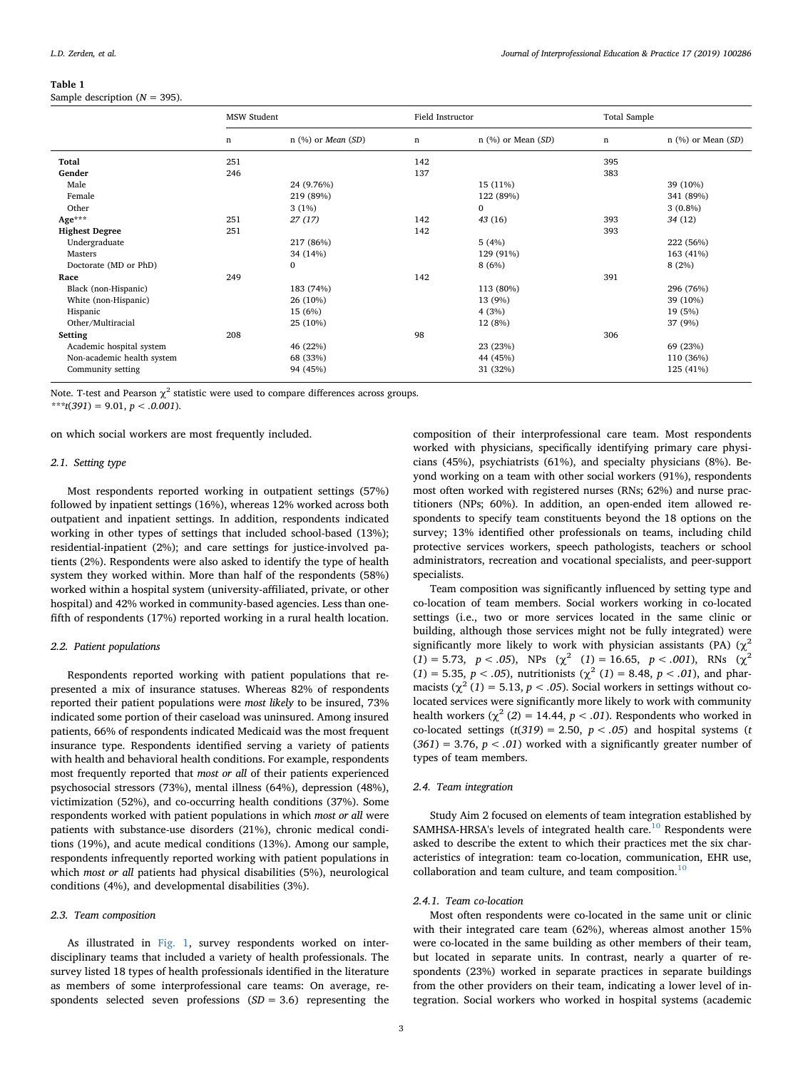#### <span id="page-2-0"></span>Table 1

Sample description ( $N = 395$ ).

|                            | <b>MSW Student</b> |                             | Field Instructor |                      | <b>Total Sample</b> |                      |
|----------------------------|--------------------|-----------------------------|------------------|----------------------|---------------------|----------------------|
|                            | $\mathbf n$        | $n$ (%) or <i>Mean</i> (SD) | n                | $n$ (%) or Mean (SD) | $\mathbf n$         | $n$ (%) or Mean (SD) |
| Total                      | 251                |                             | 142              |                      | 395                 |                      |
| Gender                     | 246                |                             | 137              |                      | 383                 |                      |
| Male                       |                    | 24 (9.76%)                  |                  | 15 (11%)             |                     | 39 (10%)             |
| Female                     |                    | 219 (89%)                   |                  | 122 (89%)            |                     | 341 (89%)            |
| Other                      |                    | 3(1%)                       |                  | $\mathbf{0}$         |                     | $3(0.8\%)$           |
| Age***                     | 251                | 27(17)                      | 142              | 43(16)               | 393                 | 34 (12)              |
| <b>Highest Degree</b>      | 251                |                             | 142              |                      | 393                 |                      |
| Undergraduate              |                    | 217 (86%)                   |                  | 5(4%)                |                     | 222 (56%)            |
| Masters                    |                    | 34 (14%)                    |                  | 129 (91%)            |                     | 163 (41%)            |
| Doctorate (MD or PhD)      |                    | $\bf{0}$                    |                  | 8(6%)                |                     | 8(2%)                |
| Race                       | 249                |                             | 142              |                      | 391                 |                      |
| Black (non-Hispanic)       |                    | 183 (74%)                   |                  | 113 (80%)            |                     | 296 (76%)            |
| White (non-Hispanic)       |                    | 26 (10%)                    |                  | 13 (9%)              |                     | 39 (10%)             |
| Hispanic                   |                    | 15 (6%)                     |                  | 4(3%)                |                     | 19 (5%)              |
| Other/Multiracial          |                    | 25 (10%)                    |                  | 12 (8%)              |                     | 37 (9%)              |
| Setting                    | 208                |                             | 98               |                      | 306                 |                      |
| Academic hospital system   |                    | 46 (22%)                    |                  | 23 (23%)             |                     | 69 (23%)             |
| Non-academic health system |                    | 68 (33%)                    |                  | 44 (45%)             |                     | 110 (36%)            |
| Community setting          |                    | 94 (45%)                    |                  | 31 (32%)             |                     | 125 (41%)            |

Note. T-test and Pearson  $\chi^2$  statistic were used to compare differences across groups.

\*\*\*t(391) = 9.01,  $p < .0.001$ ).

on which social workers are most frequently included.

# 2.1. Setting type

Most respondents reported working in outpatient settings (57%) followed by inpatient settings (16%), whereas 12% worked across both outpatient and inpatient settings. In addition, respondents indicated working in other types of settings that included school-based (13%); residential-inpatient (2%); and care settings for justice-involved patients (2%). Respondents were also asked to identify the type of health system they worked within. More than half of the respondents (58%) worked within a hospital system (university-affiliated, private, or other hospital) and 42% worked in community-based agencies. Less than onefifth of respondents (17%) reported working in a rural health location.

## 2.2. Patient populations

Respondents reported working with patient populations that represented a mix of insurance statuses. Whereas 82% of respondents reported their patient populations were most likely to be insured, 73% indicated some portion of their caseload was uninsured. Among insured patients, 66% of respondents indicated Medicaid was the most frequent insurance type. Respondents identified serving a variety of patients with health and behavioral health conditions. For example, respondents most frequently reported that most or all of their patients experienced psychosocial stressors (73%), mental illness (64%), depression (48%), victimization (52%), and co-occurring health conditions (37%). Some respondents worked with patient populations in which most or all were patients with substance-use disorders (21%), chronic medical conditions (19%), and acute medical conditions (13%). Among our sample, respondents infrequently reported working with patient populations in which most or all patients had physical disabilities (5%), neurological conditions (4%), and developmental disabilities (3%).

# 2.3. Team composition

As illustrated in [Fig. 1](#page-3-0), survey respondents worked on interdisciplinary teams that included a variety of health professionals. The survey listed 18 types of health professionals identified in the literature as members of some interprofessional care teams: On average, respondents selected seven professions  $(SD = 3.6)$  representing the composition of their interprofessional care team. Most respondents worked with physicians, specifically identifying primary care physicians (45%), psychiatrists (61%), and specialty physicians (8%). Beyond working on a team with other social workers (91%), respondents most often worked with registered nurses (RNs; 62%) and nurse practitioners (NPs; 60%). In addition, an open-ended item allowed respondents to specify team constituents beyond the 18 options on the survey; 13% identified other professionals on teams, including child protective services workers, speech pathologists, teachers or school administrators, recreation and vocational specialists, and peer-support specialists.

Team composition was significantly influenced by setting type and co-location of team members. Social workers working in co-located settings (i.e., two or more services located in the same clinic or building, although those services might not be fully integrated) were significantly more likely to work with physician assistants (PA) ( $\chi^2$ (1) = 5.73,  $p < .05$ ), NPs ( $\chi^2$  (1) = 16.65,  $p < .001$ ), RNs ( $\chi^2$ (1) = 5.35,  $p < .05$ ), nutritionists ( $\chi^2$  (1) = 8.48,  $p < .01$ ), and pharmacists ( $\chi^2$  (1) = 5.13, p < .05). Social workers in settings without colocated services were significantly more likely to work with community health workers ( $\chi^2$  (2) = 14.44,  $p < .01$ ). Respondents who worked in co-located settings  $(t(319) = 2.50, p < .05)$  and hospital systems (t  $(361) = 3.76$ ,  $p < .01$ ) worked with a significantly greater number of types of team members.

# 2.4. Team integration

Study Aim 2 focused on elements of team integration established by SAMHSA-HRSA's levels of integrated health care.<sup>[10](#page-6-11)</sup> Respondents were asked to describe the extent to which their practices met the six characteristics of integration: team co-location, communication, EHR use, collaboration and team culture, and team composition. $10$ 

# 2.4.1. Team co-location

Most often respondents were co-located in the same unit or clinic with their integrated care team (62%), whereas almost another 15% were co-located in the same building as other members of their team, but located in separate units. In contrast, nearly a quarter of respondents (23%) worked in separate practices in separate buildings from the other providers on their team, indicating a lower level of integration. Social workers who worked in hospital systems (academic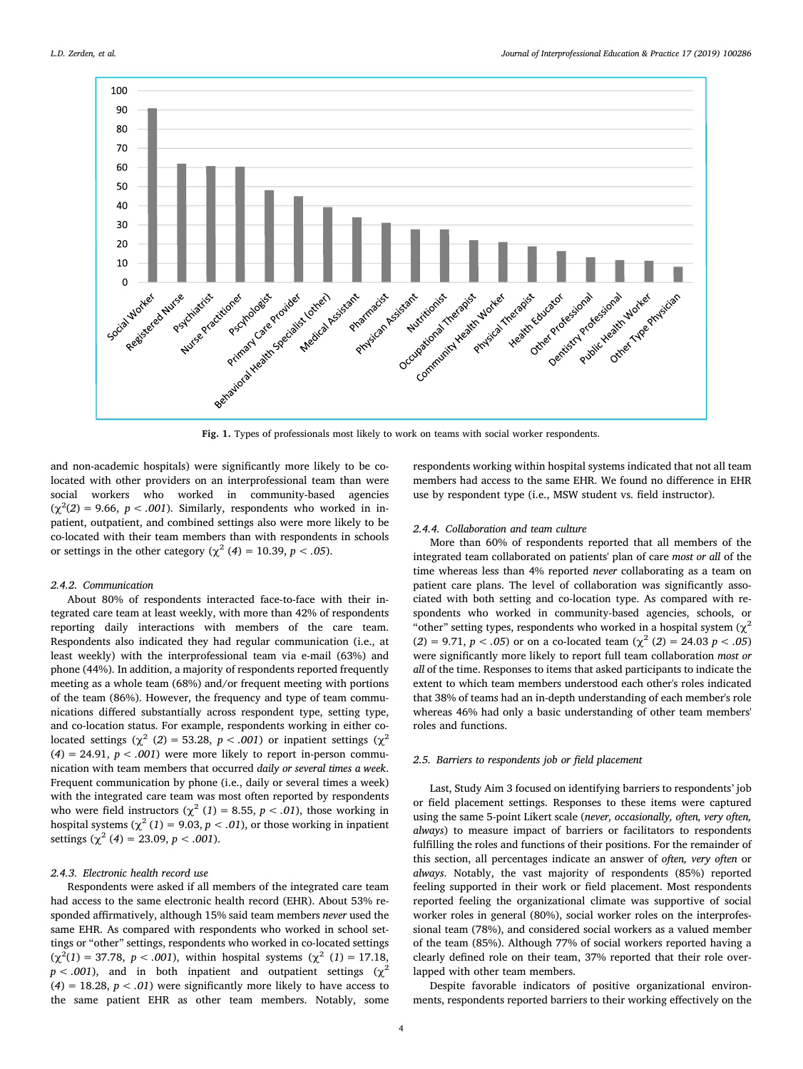<span id="page-3-0"></span>

Fig. 1. Types of professionals most likely to work on teams with social worker respondents.

and non-academic hospitals) were significantly more likely to be colocated with other providers on an interprofessional team than were social workers who worked in community-based agencies  $(\chi^2(2) = 9.66, p < .001)$ . Similarly, respondents who worked in inpatient, outpatient, and combined settings also were more likely to be co-located with their team members than with respondents in schools or settings in the other category ( $\chi^2$  (4) = 10.39, p < .05).

## 2.4.2. Communication

About 80% of respondents interacted face-to-face with their integrated care team at least weekly, with more than 42% of respondents reporting daily interactions with members of the care team. Respondents also indicated they had regular communication (i.e., at least weekly) with the interprofessional team via e-mail (63%) and phone (44%). In addition, a majority of respondents reported frequently meeting as a whole team (68%) and/or frequent meeting with portions of the team (86%). However, the frequency and type of team communications differed substantially across respondent type, setting type, and co-location status. For example, respondents working in either colocated settings ( $\chi^2$  (2) = 53.28, p < .001) or inpatient settings ( $\chi^2$  $(4) = 24.91$ ,  $p < .001$ ) were more likely to report in-person communication with team members that occurred daily or several times a week. Frequent communication by phone (i.e., daily or several times a week) with the integrated care team was most often reported by respondents who were field instructors ( $\chi^2$  (1) = 8.55, p < .01), those working in hospital systems ( $\chi^2$  (1) = 9.03, p < .01), or those working in inpatient settings ( $\chi^2$  (4) = 23.09, *p* < .001).

# 2.4.3. Electronic health record use

Respondents were asked if all members of the integrated care team had access to the same electronic health record (EHR). About 53% responded affirmatively, although 15% said team members never used the same EHR. As compared with respondents who worked in school settings or "other" settings, respondents who worked in co-located settings  $(\chi^2(1) = 37.78, p < .001)$ , within hospital systems  $(\chi^2(1) = 17.18,$  $p < .001$ ), and in both inpatient and outpatient settings ( $\chi^2$ (4) = 18.28,  $p < .01$ ) were significantly more likely to have access to the same patient EHR as other team members. Notably, some respondents working within hospital systems indicated that not all team members had access to the same EHR. We found no difference in EHR use by respondent type (i.e., MSW student vs. field instructor).

## 2.4.4. Collaboration and team culture

More than 60% of respondents reported that all members of the integrated team collaborated on patients' plan of care most or all of the time whereas less than 4% reported never collaborating as a team on patient care plans. The level of collaboration was significantly associated with both setting and co-location type. As compared with respondents who worked in community-based agencies, schools, or "other" setting types, respondents who worked in a hospital system ( $\gamma^2$  $(2) = 9.71, p < .05$  or on a co-located team  $(\chi^2 (2) = 24.03 p < .05)$ were significantly more likely to report full team collaboration most or all of the time. Responses to items that asked participants to indicate the extent to which team members understood each other's roles indicated that 38% of teams had an in-depth understanding of each member's role whereas 46% had only a basic understanding of other team members' roles and functions.

## 2.5. Barriers to respondents job or field placement

Last, Study Aim 3 focused on identifying barriers to respondents' job or field placement settings. Responses to these items were captured using the same 5-point Likert scale (never, occasionally, often, very often, always) to measure impact of barriers or facilitators to respondents fulfilling the roles and functions of their positions. For the remainder of this section, all percentages indicate an answer of often, very often or always. Notably, the vast majority of respondents (85%) reported feeling supported in their work or field placement. Most respondents reported feeling the organizational climate was supportive of social worker roles in general (80%), social worker roles on the interprofessional team (78%), and considered social workers as a valued member of the team (85%). Although 77% of social workers reported having a clearly defined role on their team, 37% reported that their role overlapped with other team members.

Despite favorable indicators of positive organizational environments, respondents reported barriers to their working effectively on the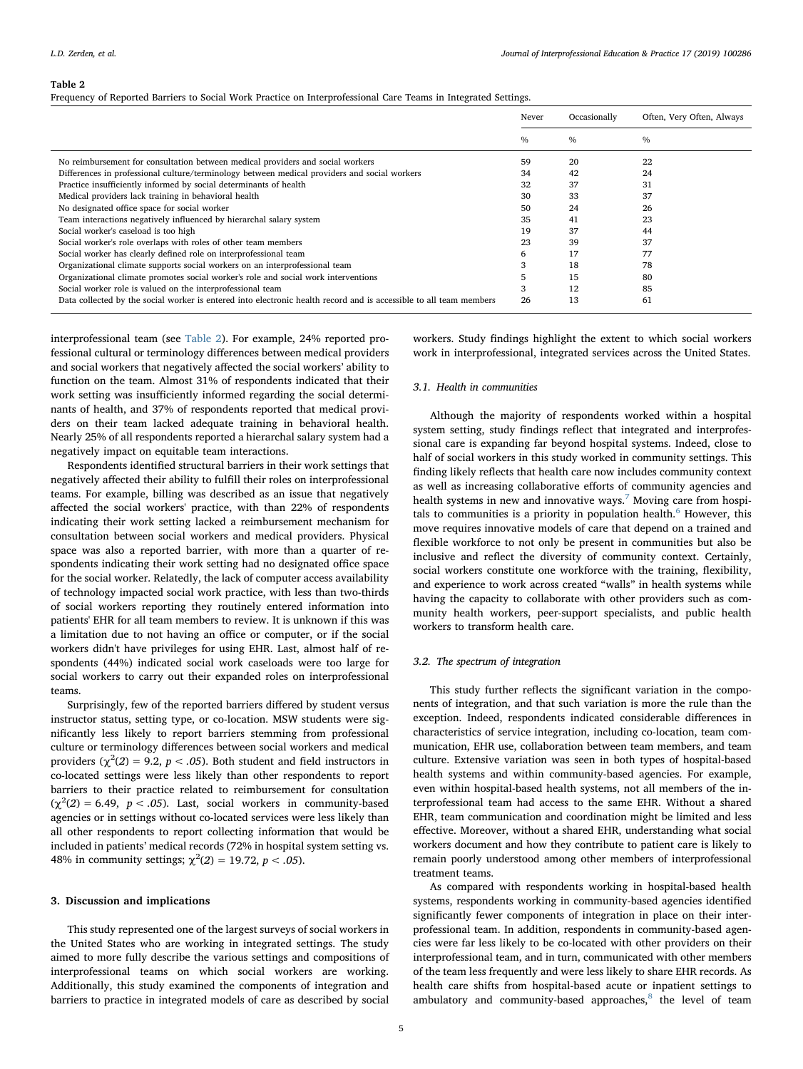#### <span id="page-4-0"></span>Table 2

Frequency of Reported Barriers to Social Work Practice on Interprofessional Care Teams in Integrated Settings.

|                                                                                                                    | Never | Occasionally  | Often, Very Often, Always |
|--------------------------------------------------------------------------------------------------------------------|-------|---------------|---------------------------|
|                                                                                                                    | $\%$  | $\frac{0}{0}$ | $\frac{0}{0}$             |
| No reimbursement for consultation between medical providers and social workers                                     | 59    | 20            | 22                        |
| Differences in professional culture/terminology between medical providers and social workers                       | 34    | 42            | 24                        |
| Practice insufficiently informed by social determinants of health                                                  | 32    | 37            | 31                        |
| Medical providers lack training in behavioral health                                                               | 30    | 33            | 37                        |
| No designated office space for social worker                                                                       | 50    | 24            | 26                        |
| Team interactions negatively influenced by hierarchal salary system                                                | 35    | 41            | 23                        |
| Social worker's caseload is too high                                                                               | 19    | 37            | 44                        |
| Social worker's role overlaps with roles of other team members                                                     | 23    | 39            | 37                        |
| Social worker has clearly defined role on interprofessional team                                                   | 6     | 17            | 77                        |
| Organizational climate supports social workers on an interprofessional team                                        | 3     | 18            | 78                        |
| Organizational climate promotes social worker's role and social work interventions                                 |       | 15            | 80                        |
| Social worker role is valued on the interprofessional team                                                         | 3     | 12            | 85                        |
| Data collected by the social worker is entered into electronic health record and is accessible to all team members | 26    | 13            | 61                        |

interprofessional team (see [Table 2](#page-4-0)). For example, 24% reported professional cultural or terminology differences between medical providers and social workers that negatively affected the social workers' ability to function on the team. Almost 31% of respondents indicated that their work setting was insufficiently informed regarding the social determinants of health, and 37% of respondents reported that medical providers on their team lacked adequate training in behavioral health. Nearly 25% of all respondents reported a hierarchal salary system had a negatively impact on equitable team interactions.

Respondents identified structural barriers in their work settings that negatively affected their ability to fulfill their roles on interprofessional teams. For example, billing was described as an issue that negatively affected the social workers' practice, with than 22% of respondents indicating their work setting lacked a reimbursement mechanism for consultation between social workers and medical providers. Physical space was also a reported barrier, with more than a quarter of respondents indicating their work setting had no designated office space for the social worker. Relatedly, the lack of computer access availability of technology impacted social work practice, with less than two-thirds of social workers reporting they routinely entered information into patients' EHR for all team members to review. It is unknown if this was a limitation due to not having an office or computer, or if the social workers didn't have privileges for using EHR. Last, almost half of respondents (44%) indicated social work caseloads were too large for social workers to carry out their expanded roles on interprofessional teams.

Surprisingly, few of the reported barriers differed by student versus instructor status, setting type, or co-location. MSW students were significantly less likely to report barriers stemming from professional culture or terminology differences between social workers and medical providers ( $\chi^2(2) = 9.2$ ,  $p < .05$ ). Both student and field instructors in co-located settings were less likely than other respondents to report barriers to their practice related to reimbursement for consultation  $(\chi^2(2) = 6.49, p < .05)$ . Last, social workers in community-based agencies or in settings without co-located services were less likely than all other respondents to report collecting information that would be included in patients' medical records (72% in hospital system setting vs. 48% in community settings;  $\chi^2(2) = 19.72, p < .05$ ).

# 3. Discussion and implications

This study represented one of the largest surveys of social workers in the United States who are working in integrated settings. The study aimed to more fully describe the various settings and compositions of interprofessional teams on which social workers are working. Additionally, this study examined the components of integration and barriers to practice in integrated models of care as described by social

workers. Study findings highlight the extent to which social workers work in interprofessional, integrated services across the United States.

## 3.1. Health in communities

Although the majority of respondents worked within a hospital system setting, study findings reflect that integrated and interprofessional care is expanding far beyond hospital systems. Indeed, close to half of social workers in this study worked in community settings. This finding likely reflects that health care now includes community context as well as increasing collaborative efforts of community agencies and health systems in new and innovative ways.<sup>[7](#page-6-18)</sup> Moving care from hospitals to communities is a priority in population health. $<sup>6</sup>$  However, this</sup> move requires innovative models of care that depend on a trained and flexible workforce to not only be present in communities but also be inclusive and reflect the diversity of community context. Certainly, social workers constitute one workforce with the training, flexibility, and experience to work across created "walls" in health systems while having the capacity to collaborate with other providers such as community health workers, peer-support specialists, and public health workers to transform health care.

## 3.2. The spectrum of integration

This study further reflects the significant variation in the components of integration, and that such variation is more the rule than the exception. Indeed, respondents indicated considerable differences in characteristics of service integration, including co-location, team communication, EHR use, collaboration between team members, and team culture. Extensive variation was seen in both types of hospital-based health systems and within community-based agencies. For example, even within hospital-based health systems, not all members of the interprofessional team had access to the same EHR. Without a shared EHR, team communication and coordination might be limited and less effective. Moreover, without a shared EHR, understanding what social workers document and how they contribute to patient care is likely to remain poorly understood among other members of interprofessional treatment teams.

As compared with respondents working in hospital-based health systems, respondents working in community-based agencies identified significantly fewer components of integration in place on their interprofessional team. In addition, respondents in community-based agencies were far less likely to be co-located with other providers on their interprofessional team, and in turn, communicated with other members of the team less frequently and were less likely to share EHR records. As health care shifts from hospital-based acute or inpatient settings to ambulatory and community-based approaches, $8$  the level of team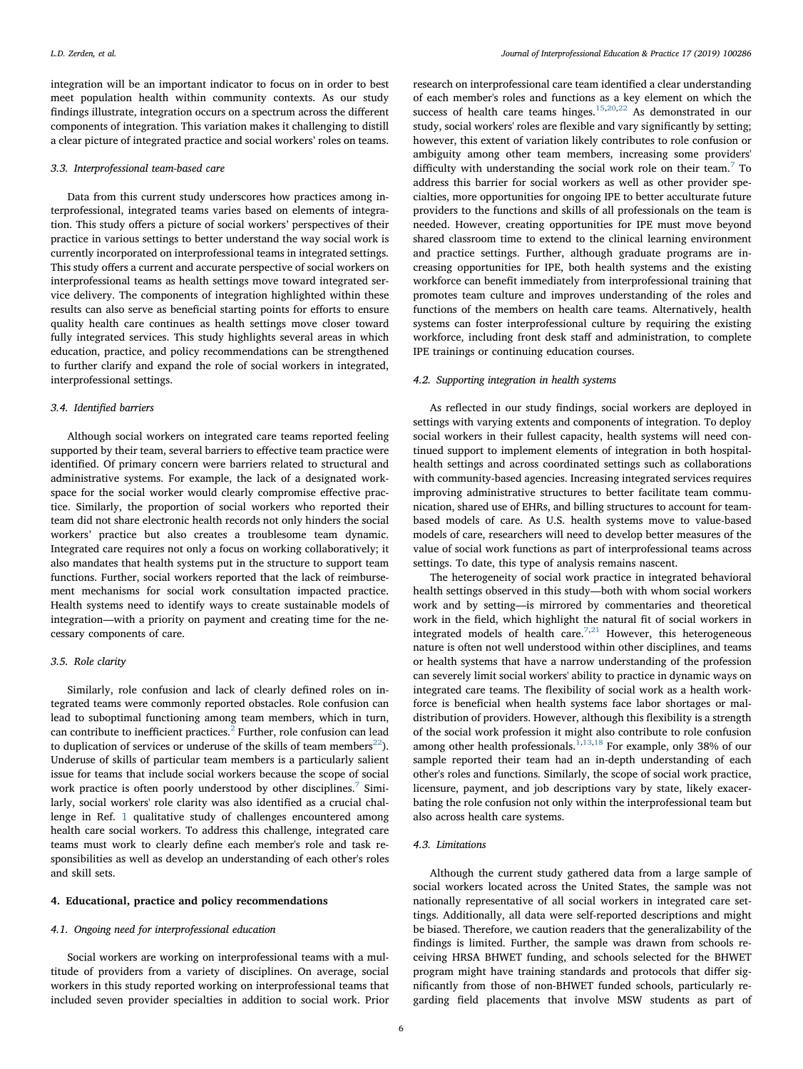integration will be an important indicator to focus on in order to best meet population health within community contexts. As our study findings illustrate, integration occurs on a spectrum across the different components of integration. This variation makes it challenging to distill a clear picture of integrated practice and social workers' roles on teams.

## 3.3. Interprofessional team-based care

Data from this current study underscores how practices among interprofessional, integrated teams varies based on elements of integration. This study offers a picture of social workers' perspectives of their practice in various settings to better understand the way social work is currently incorporated on interprofessional teams in integrated settings. This study offers a current and accurate perspective of social workers on interprofessional teams as health settings move toward integrated service delivery. The components of integration highlighted within these results can also serve as beneficial starting points for efforts to ensure quality health care continues as health settings move closer toward fully integrated services. This study highlights several areas in which education, practice, and policy recommendations can be strengthened to further clarify and expand the role of social workers in integrated, interprofessional settings.

## 3.4. Identified barriers

Although social workers on integrated care teams reported feeling supported by their team, several barriers to effective team practice were identified. Of primary concern were barriers related to structural and administrative systems. For example, the lack of a designated workspace for the social worker would clearly compromise effective practice. Similarly, the proportion of social workers who reported their team did not share electronic health records not only hinders the social workers' practice but also creates a troublesome team dynamic. Integrated care requires not only a focus on working collaboratively; it also mandates that health systems put in the structure to support team functions. Further, social workers reported that the lack of reimbursement mechanisms for social work consultation impacted practice. Health systems need to identify ways to create sustainable models of integration—with a priority on payment and creating time for the necessary components of care.

## 3.5. Role clarity

Similarly, role confusion and lack of clearly defined roles on integrated teams were commonly reported obstacles. Role confusion can lead to suboptimal functioning among team members, which in turn, can contribute to inefficient practices.<sup>[2](#page-6-24)</sup> Further, role confusion can lead to duplication of services or underuse of the skills of team members<sup>[22](#page-6-25)</sup>). Underuse of skills of particular team members is a particularly salient issue for teams that include social workers because the scope of social work practice is often poorly understood by other disciplines. $7$  Similarly, social workers' role clarity was also identified as a crucial challenge in Ref. [1](#page-6-26) qualitative study of challenges encountered among health care social workers. To address this challenge, integrated care teams must work to clearly define each member's role and task responsibilities as well as develop an understanding of each other's roles and skill sets.

## 4. Educational, practice and policy recommendations

## 4.1. Ongoing need for interprofessional education

Social workers are working on interprofessional teams with a multitude of providers from a variety of disciplines. On average, social workers in this study reported working on interprofessional teams that included seven provider specialties in addition to social work. Prior research on interprofessional care team identified a clear understanding of each member's roles and functions as a key element on which the success of health care teams hinges.<sup>[15](#page-6-27)[,20](#page-6-28),[22](#page-6-25)</sup> As demonstrated in our study, social workers' roles are flexible and vary significantly by setting; however, this extent of variation likely contributes to role confusion or ambiguity among other team members, increasing some providers' difficulty with understanding the social work role on their team.<sup>[7](#page-6-18)</sup> To address this barrier for social workers as well as other provider specialties, more opportunities for ongoing IPE to better acculturate future providers to the functions and skills of all professionals on the team is needed. However, creating opportunities for IPE must move beyond shared classroom time to extend to the clinical learning environment and practice settings. Further, although graduate programs are increasing opportunities for IPE, both health systems and the existing workforce can benefit immediately from interprofessional training that promotes team culture and improves understanding of the roles and functions of the members on health care teams. Alternatively, health systems can foster interprofessional culture by requiring the existing workforce, including front desk staff and administration, to complete IPE trainings or continuing education courses.

### 4.2. Supporting integration in health systems

As reflected in our study findings, social workers are deployed in settings with varying extents and components of integration. To deploy social workers in their fullest capacity, health systems will need continued support to implement elements of integration in both hospitalhealth settings and across coordinated settings such as collaborations with community-based agencies. Increasing integrated services requires improving administrative structures to better facilitate team communication, shared use of EHRs, and billing structures to account for teambased models of care. As U.S. health systems move to value-based models of care, researchers will need to develop better measures of the value of social work functions as part of interprofessional teams across settings. To date, this type of analysis remains nascent.

The heterogeneity of social work practice in integrated behavioral health settings observed in this study—both with whom social workers work and by setting—is mirrored by commentaries and theoretical work in the field, which highlight the natural fit of social workers in integrated models of health care.<sup>[7](#page-6-18)[,21](#page-6-0)</sup> However, this heterogeneous nature is often not well understood within other disciplines, and teams or health systems that have a narrow understanding of the profession can severely limit social workers' ability to practice in dynamic ways on integrated care teams. The flexibility of social work as a health workforce is beneficial when health systems face labor shortages or maldistribution of providers. However, although this flexibility is a strength of the social work profession it might also contribute to role confusion among other health professionals.<sup>[1](#page-6-26)[,13](#page-6-29),[18](#page-6-15)</sup> For example, only 38% of our sample reported their team had an in-depth understanding of each other's roles and functions. Similarly, the scope of social work practice, licensure, payment, and job descriptions vary by state, likely exacerbating the role confusion not only within the interprofessional team but also across health care systems.

## 4.3. Limitations

Although the current study gathered data from a large sample of social workers located across the United States, the sample was not nationally representative of all social workers in integrated care settings. Additionally, all data were self-reported descriptions and might be biased. Therefore, we caution readers that the generalizability of the findings is limited. Further, the sample was drawn from schools receiving HRSA BHWET funding, and schools selected for the BHWET program might have training standards and protocols that differ significantly from those of non-BHWET funded schools, particularly regarding field placements that involve MSW students as part of